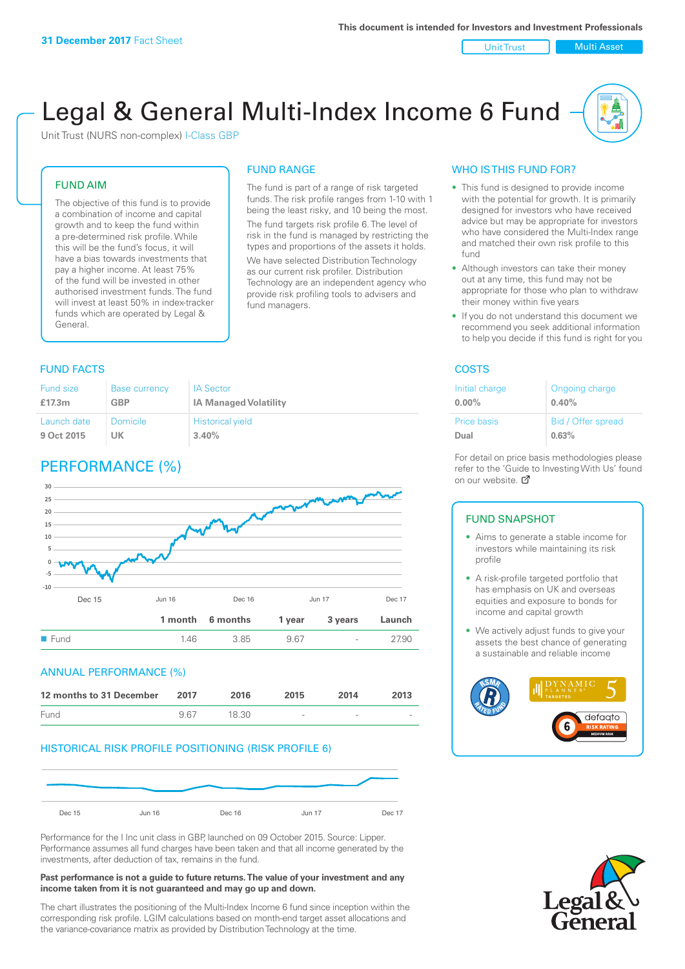Unit Trust | Multi Asset

# Legal & General Multi-Index Income 6 Fund

Unit Trust (NURS non-complex) I-Class GBP

#### FUND AIM

The objective of this fund is to provide a combination of income and capital growth and to keep the fund within a pre-determined risk profile. While this will be the fund's focus, it will have a bias towards investments that pay a higher income. At least 75% of the fund will be invested in other authorised investment funds. The fund will invest at least 50% in index-tracker funds which are operated by Legal & General.

# FUND RANGE

The fund is part of a range of risk targeted funds. The risk profile ranges from 1-10 with 1 being the least risky, and 10 being the most. The fund targets risk profile 6. The level of risk in the fund is managed by restricting the

types and proportions of the assets it holds. We have selected Distribution Technology as our current risk profiler. Distribution Technology are an independent agency who provide risk profiling tools to advisers and fund managers.

#### **FUND FACTS** COSTS

| <b>Fund size</b> | <b>Base currency</b> | <b>IA Sector</b>             |
|------------------|----------------------|------------------------------|
| £17.3m           | <b>GBP</b>           | <b>IA Managed Volatility</b> |
| Launch date      | Domicile             | <b>Historical yield</b>      |
| 9 Oct 2015       | UK                   | 3.40%                        |

# PERFORMANCE (%)



#### ANNUAL PERFORMANCE (%)

| 12 months to 31 December | 2017 | 2016  | 2015                     | 2014   | 2013 |
|--------------------------|------|-------|--------------------------|--------|------|
| Fund                     | 967  | 18.30 | $\overline{\phantom{a}}$ | $\sim$ |      |

#### HISTORICAL RISK PROFILE POSITIONING (RISK PROFILE 6)



Performance for the I Inc unit class in GBP, launched on 09 October 2015. Source: Lipper. Performance assumes all fund charges have been taken and that all income generated by the investments, after deduction of tax, remains in the fund.

#### **Past performance is not a guide to future returns. The value of your investment and any income taken from it is not guaranteed and may go up and down.**

The chart illustrates the positioning of the Multi-Index Income 6 fund since inception within the corresponding risk profile. LGIM calculations based on month-end target asset allocations and the variance-covariance matrix as provided by Distribution Technology at the time.

#### WHO IS THIS FUND FOR?

- This fund is designed to provide income with the potential for growth. It is primarily designed for investors who have received advice but may be appropriate for investors who have considered the Multi-Index range and matched their own risk profile to this fund
- Although investors can take their money out at any time, this fund may not be appropriate for those who plan to withdraw their money within five years
- If you do not understand this document we recommend you seek additional information to help you decide if this fund is right for you

| Initial charge | Ongoing charge     |
|----------------|--------------------|
| $0.00\%$       | 0.40%              |
| Price basis    | Bid / Offer spread |
| Dual           | 0.63%              |

For detail on price basis methodologies please refer to the 'Gu[ide t](http://www.legalandgeneral.com/guide)o Investing With Us' found on our website. Ø

#### FUND SNAPSHOT

- Aims to generate a stable income for investors while maintaining its risk profile
- A risk-profile targeted portfolio that has emphasis on UK and overseas equities and exposure to bonds for income and capital growth
- We actively adjust funds to give your assets the best chance of generating a sustainable and reliable income



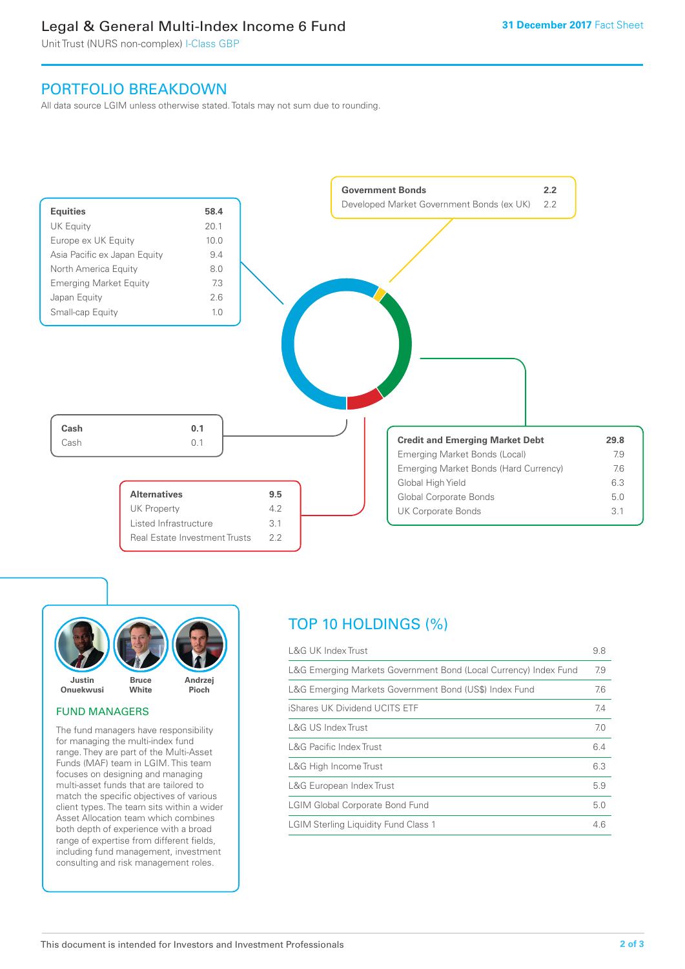# Legal & General Multi-Index Income 6 Fund

Unit Trust (NURS non-complex) I-Class GBP

## PORTFOLIO BREAKDOWN

All data source LGIM unless otherwise stated. Totals may not sum due to rounding.





#### FUND MANAGERS

The fund managers have responsibility for managing the multi-index fund range. They are part of the Multi-Asset Funds (MAF) team in LGIM. This team focuses on designing and managing multi-asset funds that are tailored to match the specific objectives of various client types. The team sits within a wider Asset Allocation team which combines both depth of experience with a broad range of expertise from different fields, including fund management, investment consulting and risk management roles.

# TOP 10 HOLDINGS (%)

| <b>L&amp;G UK Index Trust</b>                                    | 9.8 |
|------------------------------------------------------------------|-----|
| L&G Emerging Markets Government Bond (Local Currency) Index Fund | 7.9 |
| L&G Emerging Markets Government Bond (US\$) Index Fund           | 7.6 |
| iShares UK Dividend UCITS ETF                                    | 7.4 |
| L&G US Index Trust                                               | 7.0 |
| <b>L&amp;G Pacific Index Trust</b>                               | 6.4 |
| L&G High Income Trust                                            | 6.3 |
| L&G European Index Trust                                         | 5.9 |
| <b>LGIM Global Corporate Bond Fund</b>                           | 5.0 |
| <b>LGIM Sterling Liquidity Fund Class 1</b>                      | 4.6 |